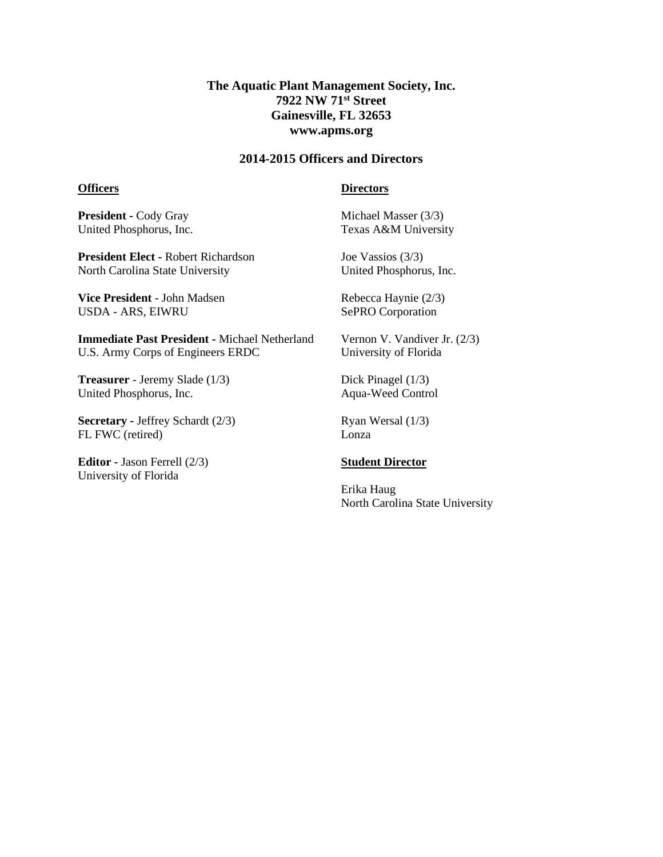# **The Aquatic Plant Management Society, Inc. 7922 NW 71st Street Gainesville, FL 32653 www.apms.org**

## **2014-2015 Officers and Directors**

### **Officers**

## **Directors**

**President -** Cody Gray United Phosphorus, Inc.

**President Elect -** Robert Richardson North Carolina State University

**Vice President** - John Madsen USDA - ARS, EIWRU

**Immediate Past President -** Michael Netherland U.S. Army Corps of Engineers ERDC

**Treasurer** - Jeremy Slade (1/3) United Phosphorus, Inc.

**Secretary -** Jeffrey Schardt (2/3) FL FWC (retired)

**Editor -** Jason Ferrell (2/3) University of Florida

Michael Masser (3/3) Texas A&M University

Joe Vassios (3/3) United Phosphorus, Inc.

Rebecca Haynie (2/3) SePRO Corporation

Vernon V. Vandiver Jr. (2/3) University of Florida

Dick Pinagel (1/3) Aqua-Weed Control

Ryan Wersal (1/3) Lonza

### **Student Director**

Erika Haug North Carolina State University